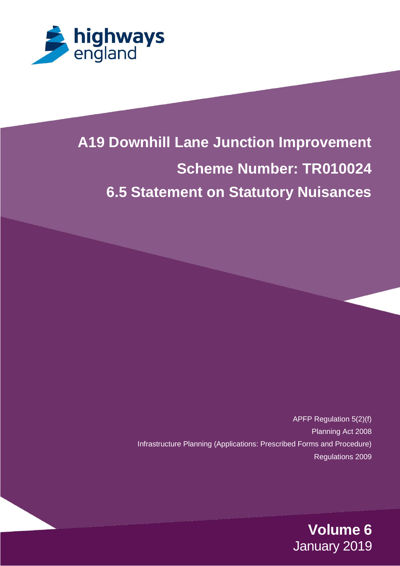

# **A19 / A1290 Downhill Lane Junction Improvement Tronder 6.8 Assessment of Historical Effects Environmental Effects 6.5 Statement on Statutory Nuisances A19 Downhill Lane Junction Improvement**

APFP Regulation 5(2)(f) Planning Act 2008 Infrastructure Planning (Applications: Prescribed Forms and Procedure) Regulations 2009

> **Volume 6** January 2019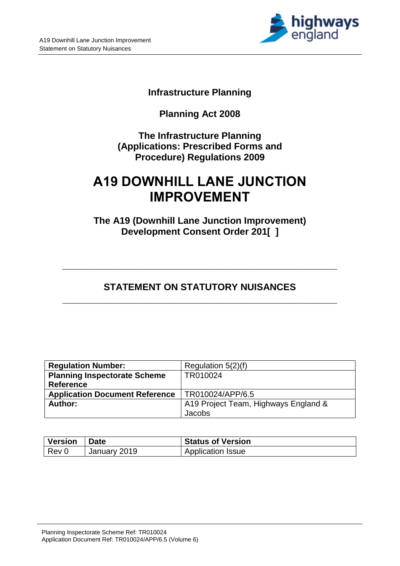

### **Infrastructure Planning**

# **Planning Act 2008**

**The Infrastructure Planning (Applications: Prescribed Forms and Procedure) Regulations 2009**

# **A19 DOWNHILL LANE JUNCTION IMPROVEMENT**

**The A19 (Downhill Lane Junction Improvement) Development Consent Order 201[ ]**

# **STATEMENT ON STATUTORY NUISANCES \_\_\_\_\_\_\_\_\_\_\_\_\_\_\_\_\_\_\_\_\_\_\_\_\_\_\_\_\_\_\_\_\_\_\_\_\_\_\_\_\_\_\_\_\_\_**

**\_\_\_\_\_\_\_\_\_\_\_\_\_\_\_\_\_\_\_\_\_\_\_\_\_\_\_\_\_\_\_\_\_\_\_\_\_\_\_\_\_\_\_\_\_\_**

| <b>Regulation Number:</b>             | Regulation $5(2)(f)$                 |
|---------------------------------------|--------------------------------------|
| <b>Planning Inspectorate Scheme</b>   | TR010024                             |
| <b>Reference</b>                      |                                      |
| <b>Application Document Reference</b> | TR010024/APP/6.5                     |
| Author:                               | A19 Project Team, Highways England & |
|                                       | Jacobs                               |

| Version Date |              | <b>Status of Version</b> |
|--------------|--------------|--------------------------|
| $ $ Rev 0    | January 2019 | <b>Application Issue</b> |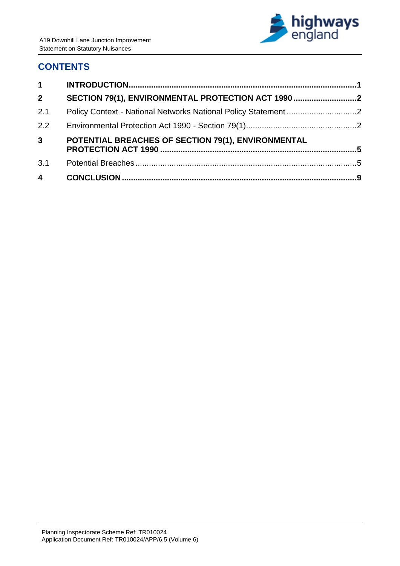

# **CONTENTS**

| 1                       |                                                    |  |
|-------------------------|----------------------------------------------------|--|
| 2 <sup>1</sup>          | SECTION 79(1), ENVIRONMENTAL PROTECTION ACT 1990   |  |
| 2.1                     |                                                    |  |
| 2.2                     |                                                    |  |
| 3 <sup>1</sup>          | POTENTIAL BREACHES OF SECTION 79(1), ENVIRONMENTAL |  |
| 3.1                     |                                                    |  |
| $\overline{\mathbf{4}}$ |                                                    |  |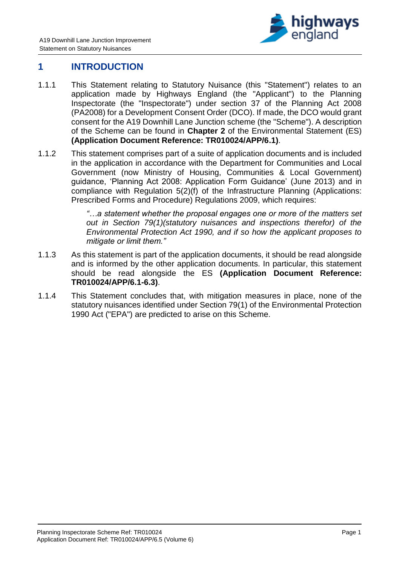

### <span id="page-3-0"></span>**1 INTRODUCTION**

- 1.1.1 This Statement relating to Statutory Nuisance (this "Statement") relates to an application made by Highways England (the "Applicant") to the Planning Inspectorate (the "Inspectorate") under section 37 of the Planning Act 2008 (PA2008) for a Development Consent Order (DCO). If made, the DCO would grant consent for the A19 Downhill Lane Junction scheme (the "Scheme"). A description of the Scheme can be found in **Chapter 2** of the Environmental Statement (ES) **(Application Document Reference: TR010024/APP/6.1)**.
- 1.1.2 This statement comprises part of a suite of application documents and is included in the application in accordance with the Department for Communities and Local Government (now Ministry of Housing, Communities & Local Government) guidance, 'Planning Act 2008: Application Form Guidance' (June 2013) and in compliance with Regulation 5(2)(f) of the Infrastructure Planning (Applications: Prescribed Forms and Procedure) Regulations 2009, which requires:

*"…a statement whether the proposal engages one or more of the matters set out in Section 79(1)(statutory nuisances and inspections therefor) of the Environmental Protection Act 1990, and if so how the applicant proposes to mitigate or limit them."*

- 1.1.3 As this statement is part of the application documents, it should be read alongside and is informed by the other application documents. In particular, this statement should be read alongside the ES **(Application Document Reference: TR010024/APP/6.1-6.3)**.
- 1.1.4 This Statement concludes that, with mitigation measures in place, none of the statutory nuisances identified under Section 79(1) of the Environmental Protection 1990 Act ("EPA") are predicted to arise on this Scheme.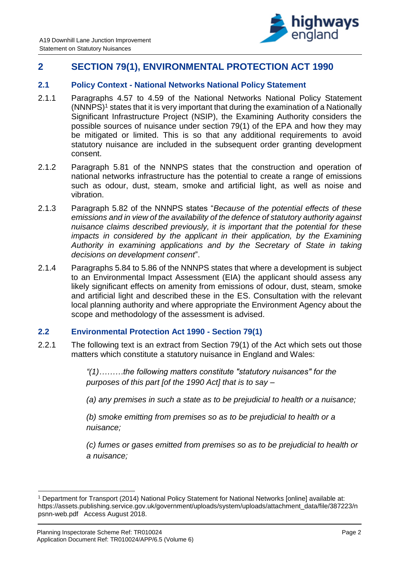

## <span id="page-4-0"></span>**2 SECTION 79(1), ENVIRONMENTAL PROTECTION ACT 1990**

#### <span id="page-4-1"></span>**2.1 Policy Context - National Networks National Policy Statement**

- 2.1.1 Paragraphs 4.57 to 4.59 of the National Networks National Policy Statement (NNNPS)<sup>1</sup> states that it is very important that during the examination of a Nationally Significant Infrastructure Project (NSIP), the Examining Authority considers the possible sources of nuisance under section 79(1) of the EPA and how they may be mitigated or limited. This is so that any additional requirements to avoid statutory nuisance are included in the subsequent order granting development consent.
- 2.1.2 Paragraph 5.81 of the NNNPS states that the construction and operation of national networks infrastructure has the potential to create a range of emissions such as odour, dust, steam, smoke and artificial light, as well as noise and vibration.
- 2.1.3 Paragraph 5.82 of the NNNPS states "*Because of the potential effects of these emissions and in view of the availability of the defence of statutory authority against nuisance claims described previously, it is important that the potential for these impacts in considered by the applicant in their application, by the Examining Authority in examining applications and by the Secretary of State in taking decisions on development consent*".
- 2.1.4 Paragraphs 5.84 to 5.86 of the NNNPS states that where a development is subject to an Environmental Impact Assessment (EIA) the applicant should assess any likely significant effects on amenity from emissions of odour, dust, steam, smoke and artificial light and described these in the ES. Consultation with the relevant local planning authority and where appropriate the Environment Agency about the scope and methodology of the assessment is advised.

#### <span id="page-4-2"></span>**2.2 Environmental Protection Act 1990 - Section 79(1)**

2.2.1 The following text is an extract from Section 79(1) of the Act which sets out those matters which constitute a statutory nuisance in England and Wales:

> *"(1)………the following matters constitute "statutory nuisances" for the purposes of this part [of the 1990 Act] that is to say –*

*(a) any premises in such a state as to be prejudicial to health or a nuisance;*

*(b) smoke emitting from premises so as to be prejudicial to health or a nuisance;* 

*(c) fumes or gases emitted from premises so as to be prejudicial to health or a nuisance;* 

-

<sup>1</sup> Department for Transport (2014) National Policy Statement for National Networks [online] available at: https://assets.publishing.service.gov.uk/government/uploads/system/uploads/attachment\_data/file/387223/n psnn-web.pdf Access August 2018.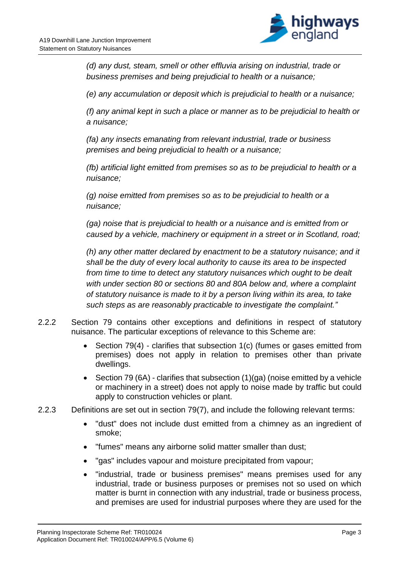

*(d) any dust, steam, smell or other effluvia arising on industrial, trade or business premises and being prejudicial to health or a nuisance;* 

*(e) any accumulation or deposit which is prejudicial to health or a nuisance;* 

*(f) any animal kept in such a place or manner as to be prejudicial to health or a nuisance;* 

*(fa) any insects emanating from relevant industrial, trade or business premises and being prejudicial to health or a nuisance;* 

*(fb) artificial light emitted from premises so as to be prejudicial to health or a nuisance;* 

*(g) noise emitted from premises so as to be prejudicial to health or a nuisance;* 

*(ga) noise that is prejudicial to health or a nuisance and is emitted from or caused by a vehicle, machinery or equipment in a street or in Scotland, road;* 

*(h) any other matter declared by enactment to be a statutory nuisance; and it shall be the duty of every local authority to cause its area to be inspected from time to time to detect any statutory nuisances which ought to be dealt with under section 80 or sections 80 and 80A below and, where a complaint of statutory nuisance is made to it by a person living within its area, to take such steps as are reasonably practicable to investigate the complaint."* 

- 2.2.2 Section 79 contains other exceptions and definitions in respect of statutory nuisance. The particular exceptions of relevance to this Scheme are:
	- Section 79(4) clarifies that subsection 1(c) (fumes or gases emitted from premises) does not apply in relation to premises other than private dwellings.
	- Section 79 (6A) clarifies that subsection (1)(ga) (noise emitted by a vehicle or machinery in a street) does not apply to noise made by traffic but could apply to construction vehicles or plant.
- 2.2.3 Definitions are set out in section 79(7), and include the following relevant terms:
	- "dust" does not include dust emitted from a chimney as an ingredient of smoke;
	- "fumes" means any airborne solid matter smaller than dust;
	- "gas" includes vapour and moisture precipitated from vapour;
	- "industrial, trade or business premises" means premises used for any industrial, trade or business purposes or premises not so used on which matter is burnt in connection with any industrial, trade or business process, and premises are used for industrial purposes where they are used for the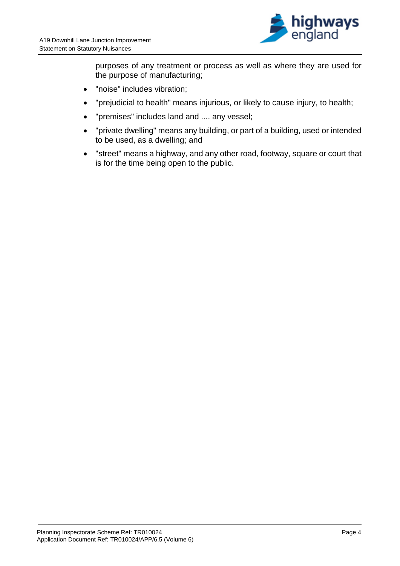

purposes of any treatment or process as well as where they are used for the purpose of manufacturing;

- "noise" includes vibration;
- "prejudicial to health" means injurious, or likely to cause injury, to health;
- "premises" includes land and .... any vessel;
- "private dwelling" means any building, or part of a building, used or intended to be used, as a dwelling; and
- "street" means a highway, and any other road, footway, square or court that is for the time being open to the public.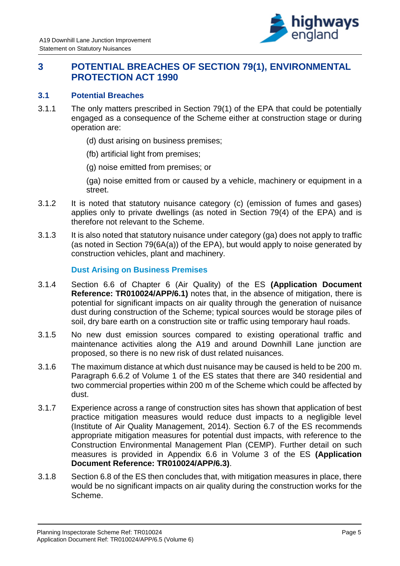

## <span id="page-7-0"></span>**3 POTENTIAL BREACHES OF SECTION 79(1), ENVIRONMENTAL PROTECTION ACT 1990**

#### <span id="page-7-1"></span>**3.1 Potential Breaches**

- 3.1.1 The only matters prescribed in Section 79(1) of the EPA that could be potentially engaged as a consequence of the Scheme either at construction stage or during operation are:
	- (d) dust arising on business premises;
	- (fb) artificial light from premises;
	- (g) noise emitted from premises; or

(ga) noise emitted from or caused by a vehicle, machinery or equipment in a street.

- 3.1.2 It is noted that statutory nuisance category (c) (emission of fumes and gases) applies only to private dwellings (as noted in Section 79(4) of the EPA) and is therefore not relevant to the Scheme.
- 3.1.3 It is also noted that statutory nuisance under category (ga) does not apply to traffic (as noted in Section 79(6A(a)) of the EPA), but would apply to noise generated by construction vehicles, plant and machinery.

#### **Dust Arising on Business Premises**

- 3.1.4 Section 6.6 of Chapter 6 (Air Quality) of the ES **(Application Document Reference: TR010024/APP/6.1)** notes that, in the absence of mitigation, there is potential for significant impacts on air quality through the generation of nuisance dust during construction of the Scheme; typical sources would be storage piles of soil, dry bare earth on a construction site or traffic using temporary haul roads.
- 3.1.5 No new dust emission sources compared to existing operational traffic and maintenance activities along the A19 and around Downhill Lane junction are proposed, so there is no new risk of dust related nuisances.
- 3.1.6 The maximum distance at which dust nuisance may be caused is held to be 200 m. Paragraph 6.6.2 of Volume 1 of the ES states that there are 340 residential and two commercial properties within 200 m of the Scheme which could be affected by dust.
- 3.1.7 Experience across a range of construction sites has shown that application of best practice mitigation measures would reduce dust impacts to a negligible level (Institute of Air Quality Management, 2014). Section 6.7 of the ES recommends appropriate mitigation measures for potential dust impacts, with reference to the Construction Environmental Management Plan (CEMP). Further detail on such measures is provided in Appendix 6.6 in Volume 3 of the ES **(Application Document Reference: TR010024/APP/6.3)**.
- 3.1.8 Section 6.8 of the ES then concludes that, with mitigation measures in place, there would be no significant impacts on air quality during the construction works for the Scheme.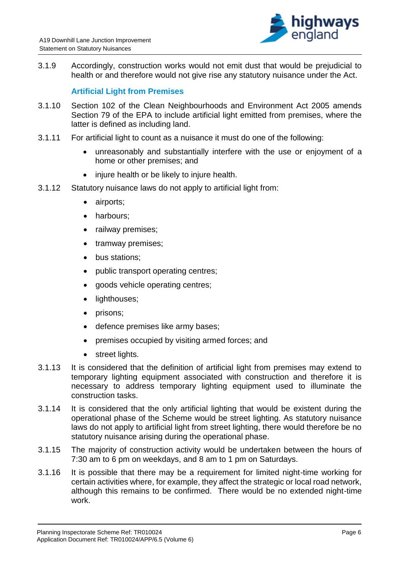

3.1.9 Accordingly, construction works would not emit dust that would be prejudicial to health or and therefore would not give rise any statutory nuisance under the Act.

#### **Artificial Light from Premises**

- 3.1.10 Section 102 of the Clean Neighbourhoods and Environment Act 2005 amends Section 79 of the EPA to include artificial light emitted from premises, where the latter is defined as including land.
- 3.1.11 For artificial light to count as a nuisance it must do one of the following:
	- unreasonably and substantially interfere with the use or enjoyment of a home or other premises; and
	- injure health or be likely to injure health.
- 3.1.12 Statutory nuisance laws do not apply to artificial light from:
	- airports;
	- harbours;
	- railway premises;
	- tramway premises;
	- bus stations;
	- public transport operating centres;
	- goods vehicle operating centres;
	- lighthouses;
	- prisons;
	- defence premises like army bases:
	- premises occupied by visiting armed forces; and
	- street lights.
- 3.1.13 It is considered that the definition of artificial light from premises may extend to temporary lighting equipment associated with construction and therefore it is necessary to address temporary lighting equipment used to illuminate the construction tasks.
- 3.1.14 It is considered that the only artificial lighting that would be existent during the operational phase of the Scheme would be street lighting. As statutory nuisance laws do not apply to artificial light from street lighting, there would therefore be no statutory nuisance arising during the operational phase.
- 3.1.15 The majority of construction activity would be undertaken between the hours of 7:30 am to 6 pm on weekdays, and 8 am to 1 pm on Saturdays.
- 3.1.16 It is possible that there may be a requirement for limited night-time working for certain activities where, for example, they affect the strategic or local road network, although this remains to be confirmed. There would be no extended night-time work.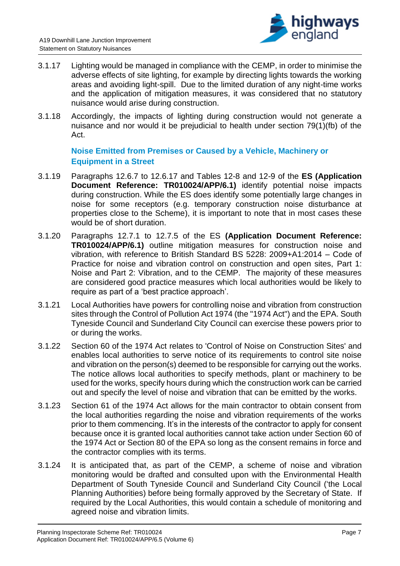

- 3.1.17 Lighting would be managed in compliance with the CEMP, in order to minimise the adverse effects of site lighting, for example by directing lights towards the working areas and avoiding light-spill. Due to the limited duration of any night-time works and the application of mitigation measures, it was considered that no statutory nuisance would arise during construction.
- 3.1.18 Accordingly, the impacts of lighting during construction would not generate a nuisance and nor would it be prejudicial to health under section 79(1)(fb) of the Act.

#### **Noise Emitted from Premises or Caused by a Vehicle, Machinery or Equipment in a Street**

- 3.1.19 Paragraphs 12.6.7 to 12.6.17 and Tables 12-8 and 12-9 of the **ES (Application Document Reference: TR010024/APP/6.1)** identify potential noise impacts during construction. While the ES does identify some potentially large changes in noise for some receptors (e.g. temporary construction noise disturbance at properties close to the Scheme), it is important to note that in most cases these would be of short duration.
- 3.1.20 Paragraphs 12.7.1 to 12.7.5 of the ES **(Application Document Reference: TR010024/APP/6.1)** outline mitigation measures for construction noise and vibration, with reference to British Standard BS 5228: 2009+A1:2014 – Code of Practice for noise and vibration control on construction and open sites, Part 1: Noise and Part 2: Vibration, and to the CEMP. The majority of these measures are considered good practice measures which local authorities would be likely to require as part of a 'best practice approach'.
- 3.1.21 Local Authorities have powers for controlling noise and vibration from construction sites through the Control of Pollution Act 1974 (the "1974 Act") and the EPA. South Tyneside Council and Sunderland City Council can exercise these powers prior to or during the works.
- 3.1.22 Section 60 of the 1974 Act relates to 'Control of Noise on Construction Sites' and enables local authorities to serve notice of its requirements to control site noise and vibration on the person(s) deemed to be responsible for carrying out the works. The notice allows local authorities to specify methods, plant or machinery to be used for the works, specify hours during which the construction work can be carried out and specify the level of noise and vibration that can be emitted by the works.
- 3.1.23 Section 61 of the 1974 Act allows for the main contractor to obtain consent from the local authorities regarding the noise and vibration requirements of the works prior to them commencing. It's in the interests of the contractor to apply for consent because once it is granted local authorities cannot take action under Section 60 of the 1974 Act or Section 80 of the EPA so long as the consent remains in force and the contractor complies with its terms.
- 3.1.24 It is anticipated that, as part of the CEMP, a scheme of noise and vibration monitoring would be drafted and consulted upon with the Environmental Health Department of South Tyneside Council and Sunderland City Council ('the Local Planning Authorities) before being formally approved by the Secretary of State. If required by the Local Authorities, this would contain a schedule of monitoring and agreed noise and vibration limits.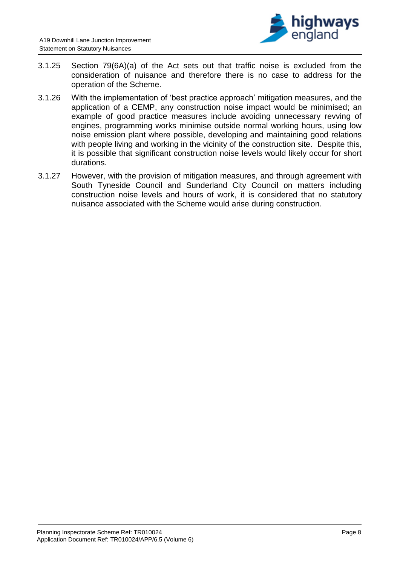

- 3.1.25 Section 79(6A)(a) of the Act sets out that traffic noise is excluded from the consideration of nuisance and therefore there is no case to address for the operation of the Scheme.
- 3.1.26 With the implementation of 'best practice approach' mitigation measures, and the application of a CEMP, any construction noise impact would be minimised; an example of good practice measures include avoiding unnecessary revving of engines, programming works minimise outside normal working hours, using low noise emission plant where possible, developing and maintaining good relations with people living and working in the vicinity of the construction site. Despite this, it is possible that significant construction noise levels would likely occur for short durations.
- 3.1.27 However, with the provision of mitigation measures, and through agreement with South Tyneside Council and Sunderland City Council on matters including construction noise levels and hours of work, it is considered that no statutory nuisance associated with the Scheme would arise during construction.